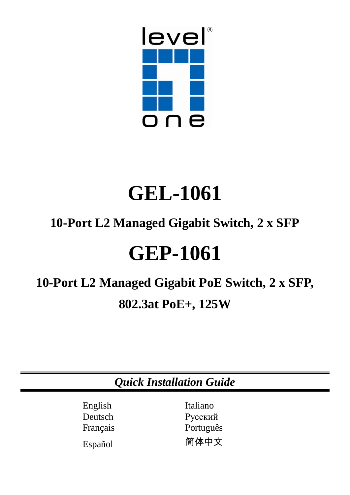

# **GEL-1061**

# **10-Port L2 Managed Gigabit Switch, 2 x SFP**

# **GEP-1061**

# **10-Port L2 Managed Gigabit PoE Switch, 2 x SFP, 802.3at PoE+, 125W**

|                                           | <b>Quick Installation Guide</b>          |  |
|-------------------------------------------|------------------------------------------|--|
| English<br>Deutsch<br>Français<br>Español | Italiano<br>Русский<br>Português<br>简体中文 |  |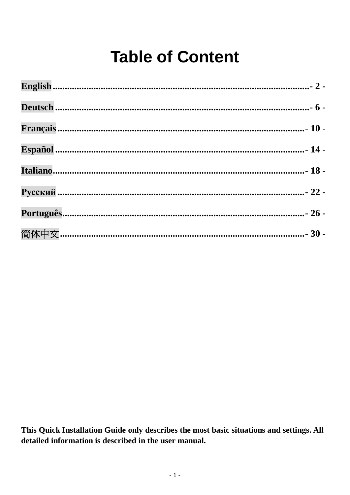# **Table of Content**

This Quick Installation Guide only describes the most basic situations and settings. All detailed information is described in the user manual.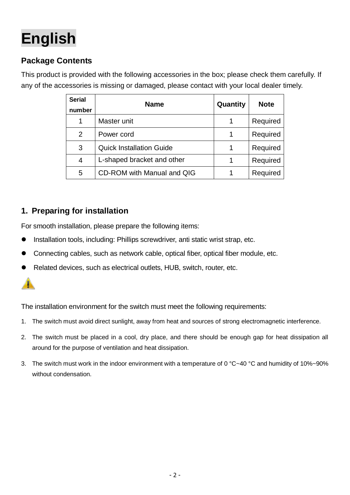# <span id="page-2-0"></span>**English**

# **Package Contents**

This product is provided with the following accessories in the box; please check them carefully. If any of the accessories is missing or damaged, please contact with your local dealer timely.

| <b>Serial</b><br>number | <b>Name</b>                     | Quantity | <b>Note</b> |
|-------------------------|---------------------------------|----------|-------------|
|                         | Master unit                     |          | Required    |
| 2                       | Power cord                      | 1        | Required    |
| 3                       | <b>Quick Installation Guide</b> |          | Required    |
| 4                       | L-shaped bracket and other      |          | Required    |
| 5                       | CD-ROM with Manual and QIG      |          | Required    |

## **1. Preparing for installation**

For smooth installation, please prepare the following items:

- Installation tools, including: Phillips screwdriver, anti static wrist strap, etc.
- Connecting cables, such as network cable, optical fiber, optical fiber module, etc.
- Related devices, such as electrical outlets, HUB, switch, router, etc.



The installation environment for the switch must meet the following requirements:

- 1. The switch must avoid direct sunlight, away from heat and sources of strong electromagnetic interference.
- 2. The switch must be placed in a cool, dry place, and there should be enough gap for heat dissipation all around for the purpose of ventilation and heat dissipation.
- 3. The switch must work in the indoor environment with a temperature of 0 °C~40 °C and humidity of 10%~90% without condensation.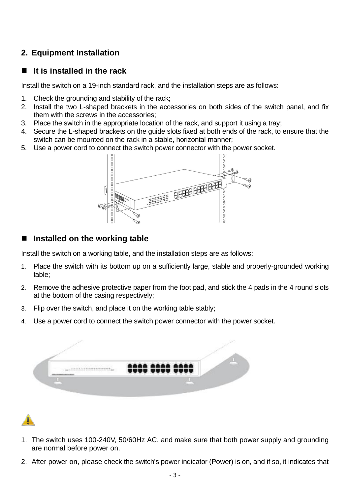## **2. Equipment Installation**

### **It is installed in the rack**

Install the switch on a 19-inch standard rack, and the installation steps are as follows:

- 1. Check the grounding and stability of the rack;
- 2. Install the two L-shaped brackets in the accessories on both sides of the switch panel, and fix them with the screws in the accessories;
- 3. Place the switch in the appropriate location of the rack, and support it using a tray;
- 4. Secure the L-shaped brackets on the guide slots fixed at both ends of the rack, to ensure that the switch can be mounted on the rack in a stable, horizontal manner;
- 5. Use a power cord to connect the switch power connector with the power socket.



### **Installed on the working table**

Install the switch on a working table, and the installation steps are as follows:

- 1. Place the switch with its bottom up on a sufficiently large, stable and properly-grounded working table;
- 2. Remove the adhesive protective paper from the foot pad, and stick the 4 pads in the 4 round slots at the bottom of the casing respectively;
- 3. Flip over the switch, and place it on the working table stably;
- 4. Use a power cord to connect the switch power connector with the power socket.



- 1. The switch uses 100-240V, 50/60Hz AC, and make sure that both power supply and grounding are normal before power on.
- 2. After power on, please check the switch's power indicator (Power) is on, and if so, it indicates that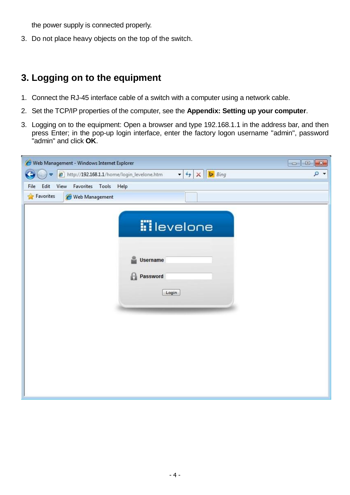the power supply is connected properly.

3. Do not place heavy objects on the top of the switch.

# **3. Logging on to the equipment**

- 1. Connect the RJ-45 interface cable of a switch with a computer using a network cable.
- 2. Set the TCP/IP properties of the computer, see the **Appendix: Setting up your computer**.
- 3. Logging on to the equipment: Open a browser and type 192.168.1.1 in the address bar, and then press Enter; in the pop-up login interface, enter the factory logon username "admin", password "admin" and click **OK**.

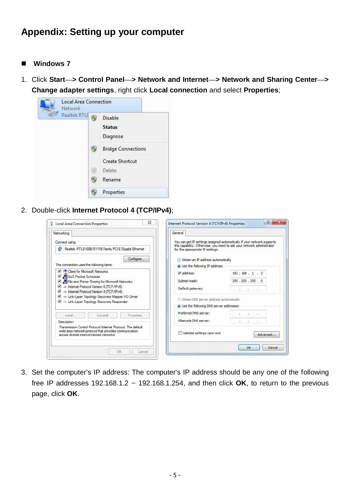# **Appendix: Setting up your computer**

- Windows 7
- 1. Click **Start—> Control Panel—> Network and Internet—> Network and Sharing Center—> Change adapter settings**, right click **Local connection** and select **Properties**;



2. Double-click **Internet Protocol 4 (TCP/IPv4)**;

| Networking                                                                                                                                                        | General                                                                                                                                                                               |
|-------------------------------------------------------------------------------------------------------------------------------------------------------------------|---------------------------------------------------------------------------------------------------------------------------------------------------------------------------------------|
| Connect using:<br>Realtek RTL8168B/8111B Family PCI-E Gigabit Ethernet                                                                                            | You can get IP settings assigned automatically if your network supports<br>this capability. Otherwise, you need to ask your network administrator<br>for the appropriate IP settings. |
| Configure                                                                                                                                                         | b Obtain an IP address automatically                                                                                                                                                  |
| This connection uses the following items:                                                                                                                         | O Use the following IP address:                                                                                                                                                       |
| <b>V Client for Microsoft Networks</b>                                                                                                                            | 192.168.1.2<br>IP address:                                                                                                                                                            |
| <b>v</b> educ <sup>s</sup> Packet Scheduler<br>File and Printer Sharing for Microsoft Networks                                                                    | Subnet mask:<br>255 . 255 . 255 . 0                                                                                                                                                   |
| A Internet Protocol Version 6 (TCP/IPv6)<br>A Internet Protocol Version 4 (TCP/IPv4)                                                                              | Default gateway:<br>$-18$<br>ALC: Y                                                                                                                                                   |
| Link-Layer Topology Discovery Mapper I/O Driver                                                                                                                   | Obtain DNS server address automatically                                                                                                                                               |
| Link-Layer Topology Discovery Responder                                                                                                                           | · Use the following DNS server addresses:                                                                                                                                             |
|                                                                                                                                                                   | Preferred DNS server:<br>×.                                                                                                                                                           |
| Install<br><b>Uninstall</b><br><b>Properties</b><br><b>Description</b>                                                                                            | Alternate DNS server:<br>3                                                                                                                                                            |
| Transmission Control Protocol/Internet Protocol. The default<br>wide area network protocol that provides communication<br>across diverse interconnected networks. | Validate settings upon exit<br>Advanced                                                                                                                                               |

3. Set the computer's IP address: The computer's IP address should be any one of the following free IP addresses 192.168.1.2  $\sim$  192.168.1.254, and then click OK, to return to the previous page, click **OK**.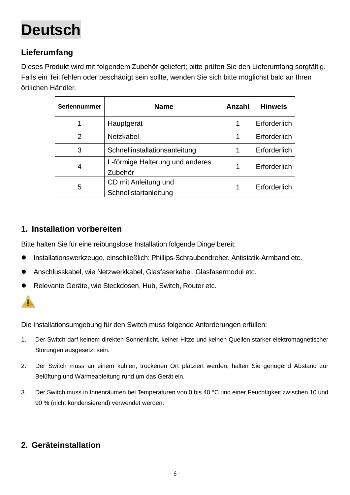# <span id="page-6-0"></span>**Deutsch**

# **Lieferumfang**

Dieses Produkt wird mit folgendem Zubehör geliefert; bitte prüfen Sie den Lieferumfang sorgfältig. Falls ein Teil fehlen oder beschädigt sein sollte, wenden Sie sich bitte möglichst bald an Ihren örtlichen Händler.

| Seriennummer | <b>Name</b>                                   | Anzahl | <b>Hinweis</b> |
|--------------|-----------------------------------------------|--------|----------------|
|              | Hauptgerät                                    | 1      | Erforderlich   |
| 2            | Netzkabel                                     | 1      | Erforderlich   |
| 3            | Schnellinstallationsanleitung                 | 1      | Erforderlich   |
| 4            | L-förmige Halterung und anderes<br>Zubehör    | 1      | Erforderlich   |
| 5            | CD mit Anleitung und<br>Schnellstartanleitung | 1      | Erforderlich   |

### **1. Installation vorbereiten**

Bitte halten Sie für eine reibungslose Installation folgende Dinge bereit:

- Installationswerkzeuge, einschließlich: Phillips-Schraubendreher, Antistatik-Armband etc.
- Anschlusskabel, wie Netzwerkkabel, Glasfaserkabel, Glasfasermodul etc.
- Relevante Geräte, wie Steckdosen, Hub, Switch, Router etc.



Die Installationsumgebung für den Switch muss folgende Anforderungen erfüllen:

- 1. Der Switch darf keinem direkten Sonnenlicht, keiner Hitze und keinen Quellen starker elektromagnetischer Störungen ausgesetzt sein.
- 2. Der Switch muss an einem kühlen, trockenen Ort platziert werden; halten Sie genügend Abstand zur Belüftung und Wärmeableitung rund um das Gerät ein.
- 3. Der Switch muss in Innenräumen bei Temperaturen von 0 bis 40 °C und einer Feuchtigkeit zwischen 10 und 90 % (nicht kondensierend) verwendet werden.

## **2. Geräteinstallation**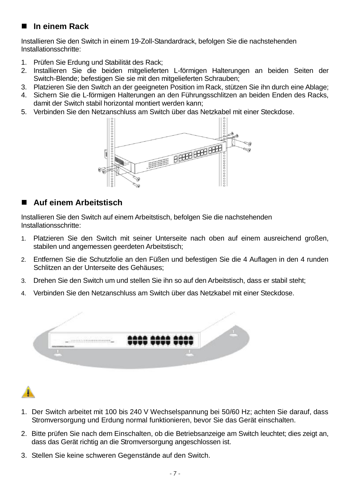## **In einem Rack**

Installieren Sie den Switch in einem 19-Zoll-Standardrack, befolgen Sie die nachstehenden Installationsschritte:

- 1. Prüfen Sie Erdung und Stabilität des Rack;
- 2. Installieren Sie die beiden mitgelieferten L-förmigen Halterungen an beiden Seiten der Switch-Blende; befestigen Sie sie mit den mitgelieferten Schrauben;
- 3. Platzieren Sie den Switch an der geeigneten Position im Rack, stützen Sie ihn durch eine Ablage;
- 4. Sichern Sie die L-förmigen Halterungen an den Führungsschlitzen an beiden Enden des Racks, damit der Switch stabil horizontal montiert werden kann;
- 5. Verbinden Sie den Netzanschluss am Switch über das Netzkabel mit einer Steckdose.



## **Auf einem Arbeitstisch**

Installieren Sie den Switch auf einem Arbeitstisch, befolgen Sie die nachstehenden Installationsschritte:

- 1. Platzieren Sie den Switch mit seiner Unterseite nach oben auf einem ausreichend großen, stabilen und angemessen geerdeten Arbeitstisch;
- 2. Entfernen Sie die Schutzfolie an den Füßen und befestigen Sie die 4 Auflagen in den 4 runden Schlitzen an der Unterseite des Gehäuses;
- 3. Drehen Sie den Switch um und stellen Sie ihn so auf den Arbeitstisch, dass er stabil steht;
- 4. Verbinden Sie den Netzanschluss am Switch über das Netzkabel mit einer Steckdose.





- 1. Der Switch arbeitet mit 100 bis 240 V Wechselspannung bei 50/60 Hz; achten Sie darauf, dass Stromversorgung und Erdung normal funktionieren, bevor Sie das Gerät einschalten.
- 2. Bitte prüfen Sie nach dem Einschalten, ob die Betriebsanzeige am Switch leuchtet; dies zeigt an, dass das Gerät richtig an die Stromversorgung angeschlossen ist.
- 3. Stellen Sie keine schweren Gegenstände auf den Switch.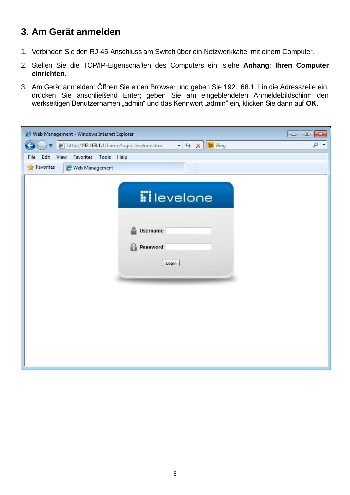# **3. Am Gerät anmelden**

- 1. Verbinden Sie den RJ-45-Anschluss am Switch über ein Netzwerkkabel mit einem Computer.
- 2. Stellen Sie die TCP/IP-Eigenschaften des Computers ein; siehe **Anhang: Ihren Computer einrichten**.
- 3. Am Gerät anmelden: Öffnen Sie einen Browser und geben Sie 192.168.1.1 in die Adresszeile ein, drücken Sie anschließend Enter; geben Sie am eingeblendeten Anmeldebildschirm den werkseitigen Benutzernamen "admin" und das Kennwort "admin" ein, klicken Sie dann auf **OK**.

| Web Management - Windows Internet Explorer                                                                                           | $\begin{array}{c c c c c} \hline \multicolumn{1}{c }{\mathbf{C}} & \multicolumn{1}{c }{\mathbf{C}} & \multicolumn{1}{c }{\mathbf{X}} \end{array}$ |
|--------------------------------------------------------------------------------------------------------------------------------------|---------------------------------------------------------------------------------------------------------------------------------------------------|
| $\mathbf{v}$ $\mathbf{t}$ $\mathbf{y}$ $\mathbf{X}$ $\mathbf{b}$ Bing<br>http://192.168.1.1/home/login_levelone.htm<br>$\Rightarrow$ | ۹<br>$\overline{\phantom{a}}$                                                                                                                     |
| Edit<br>View<br>Favorites<br>Tools<br>Help<br>File                                                                                   |                                                                                                                                                   |
| <b>Favorites</b><br>Web Management                                                                                                   |                                                                                                                                                   |
| <b>ii</b> levelone<br>Username<br>Password<br>Н<br>Login                                                                             |                                                                                                                                                   |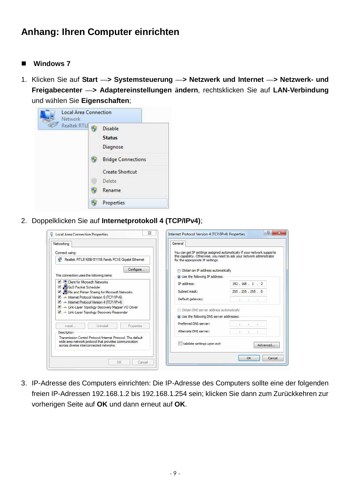# **Anhang: Ihren Computer einrichten**

#### ■ Windows 7

1. Klicken Sie auf **Start —> Systemsteuerung —> Netzwerk und Internet —> Netzwerk- und Freigabecenter —> Adaptereinstellungen ändern**, rechtsklicken Sie auf **LAN-Verbindung**  und wählen Sie **Eigenschaften**;



2. Doppelklicken Sie auf **Internetprotokoll 4 (TCP/IPv4)**;

| Networking<br>Connect using:                                                                                                                                      | General                                                                              | You can get IP settings assigned automatically if your network supports |
|-------------------------------------------------------------------------------------------------------------------------------------------------------------------|--------------------------------------------------------------------------------------|-------------------------------------------------------------------------|
| Realtek RTL8168B/8111B Family PCI-E Gigabit Ethernet                                                                                                              | for the appropriate IP settings.                                                     | this capability. Otherwise, you need to ask your network administrator  |
| Configure                                                                                                                                                         | <b>Obtain an IP address automatically</b>                                            |                                                                         |
| This connection uses the following items:                                                                                                                         | O Use the following IP address:                                                      |                                                                         |
| <b>V Client for Microsoft Networks</b><br><b>D</b> QoS Packet Scheduler                                                                                           | IP address:                                                                          | 192.168.1.2                                                             |
| File and Printer Sharing for Microsoft Networks<br>▼                                                                                                              | Subnet mask:                                                                         | 255 . 255 . 255 . 0                                                     |
| A Internet Protocol Version 6 (TCP/IPv6)<br>A Lemet Protocol Version 4 (TCP/IPv4)                                                                                 | Default gateway:                                                                     | All the second                                                          |
| Link-Layer Topology Discovery Mapper I/O Driver<br>Link-Layer Topology Discovery Responder                                                                        | Obtain DNS server address automatically<br>· Use the following DNS server addresses: |                                                                         |
| Install<br><b>Uninstall</b><br>Properties                                                                                                                         | Preferred DNS server:                                                                | ×.                                                                      |
| <b>Description</b>                                                                                                                                                | Alternate DNS server:                                                                | 窓<br>$\sim$                                                             |
| Transmission Control Protocol/Internet Protocol. The default<br>wide area network protocol that provides communication<br>across diverse interconnected networks. | Validate settings upon exit                                                          | Advanced                                                                |

3. IP-Adresse des Computers einrichten: Die IP-Adresse des Computers sollte eine der folgenden freien IP-Adressen 192.168.1.2 bis 192.168.1.254 sein; klicken Sie dann zum Zurückkehren zur vorherigen Seite auf **OK** und dann erneut auf **OK**.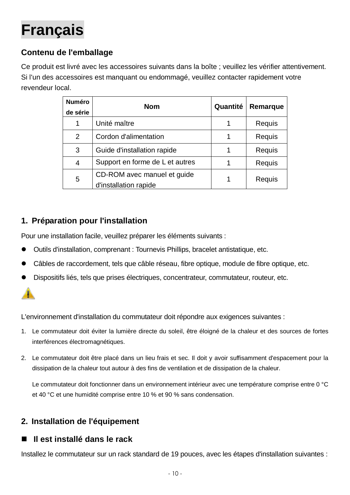# <span id="page-10-0"></span>**Français**

# **Contenu de l'emballage**

Ce produit est livré avec les accessoires suivants dans la boîte ; veuillez les vérifier attentivement. Si l'un des accessoires est manquant ou endommagé, veuillez contacter rapidement votre revendeur local.

| <b>Numéro</b><br>de série | <b>Nom</b>                                           | Quantité | Remarque |
|---------------------------|------------------------------------------------------|----------|----------|
| 1                         | Unité maître                                         |          | Requis   |
| 2                         | Cordon d'alimentation                                |          | Requis   |
| 3                         | Guide d'installation rapide                          | 1        | Requis   |
| 4                         | Support en forme de L et autres                      |          | Requis   |
| 5                         | CD-ROM avec manuel et guide<br>d'installation rapide | 1        | Requis   |

## **1. Préparation pour l'installation**

Pour une installation facile, veuillez préparer les éléments suivants :

- Outils d'installation, comprenant : Tournevis Phillips, bracelet antistatique, etc.
- Câbles de raccordement, tels que câble réseau, fibre optique, module de fibre optique, etc.
- Dispositifs liés, tels que prises électriques, concentrateur, commutateur, routeur, etc.



L'environnement d'installation du commutateur doit répondre aux exigences suivantes :

- 1. Le commutateur doit éviter la lumière directe du soleil, être éloigné de la chaleur et des sources de fortes interférences électromagnétiques.
- 2. Le commutateur doit être placé dans un lieu frais et sec. Il doit y avoir suffisamment d'espacement pour la dissipation de la chaleur tout autour à des fins de ventilation et de dissipation de la chaleur.

Le commutateur doit fonctionner dans un environnement intérieur avec une température comprise entre 0 °C et 40 °C et une humidité comprise entre 10 % et 90 % sans condensation.

## **2. Installation de l'équipement**

## **Il est installé dans le rack**

Installez le commutateur sur un rack standard de 19 pouces, avec les étapes d'installation suivantes :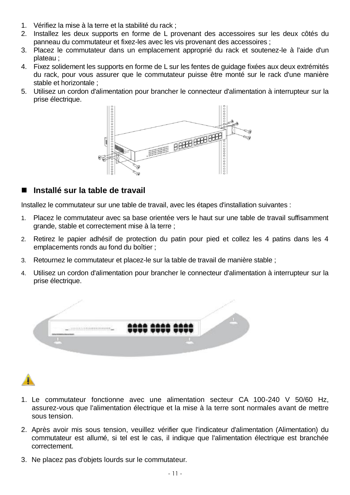- 1. Vérifiez la mise à la terre et la stabilité du rack ;
- 2. Installez les deux supports en forme de L provenant des accessoires sur les deux côtés du panneau du commutateur et fixez-les avec les vis provenant des accessoires ;
- 3. Placez le commutateur dans un emplacement approprié du rack et soutenez-le à l'aide d'un plateau ;
- 4. Fixez solidement les supports en forme de L sur les fentes de guidage fixées aux deux extrémités du rack, pour vous assurer que le commutateur puisse être monté sur le rack d'une manière stable et horizontale ;
- 5. Utilisez un cordon d'alimentation pour brancher le connecteur d'alimentation à interrupteur sur la prise électrique.



### **Installé sur la table de travail**

Installez le commutateur sur une table de travail, avec les étapes d'installation suivantes :

- 1. Placez le commutateur avec sa base orientée vers le haut sur une table de travail suffisamment grande, stable et correctement mise à la terre ;
- 2. Retirez le papier adhésif de protection du patin pour pied et collez les 4 patins dans les 4 emplacements ronds au fond du boîtier ;
- 3. Retournez le commutateur et placez-le sur la table de travail de manière stable ;
- 4. Utilisez un cordon d'alimentation pour brancher le connecteur d'alimentation à interrupteur sur la prise électrique.



- 1. Le commutateur fonctionne avec une alimentation secteur CA 100-240 V 50/60 Hz, assurez-vous que l'alimentation électrique et la mise à la terre sont normales avant de mettre sous tension.
- 2. Après avoir mis sous tension, veuillez vérifier que l'indicateur d'alimentation (Alimentation) du commutateur est allumé, si tel est le cas, il indique que l'alimentation électrique est branchée correctement.
- 3. Ne placez pas d'objets lourds sur le commutateur.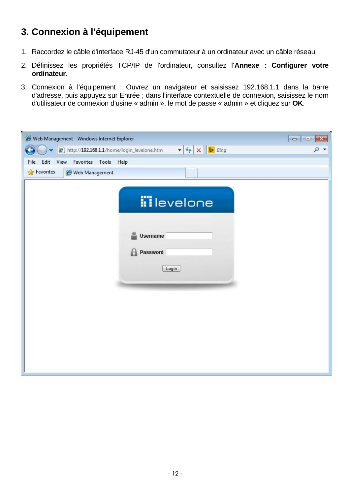# **3. Connexion à l'équipement**

- 1. Raccordez le câble d'interface RJ-45 d'un commutateur à un ordinateur avec un câble réseau.
- 2. Définissez les propriétés TCP/IP de l'ordinateur, consultez l'**Annexe : Configurer votre ordinateur**.
- 3. Connexion à l'équipement : Ouvrez un navigateur et saisissez 192.168.1.1 dans la barre d'adresse, puis appuyez sur Entrée ; dans l'interface contextuelle de connexion, saisissez le nom d'utilisateur de connexion d'usine « admin », le mot de passe « admin » et cliquez sur **OK**.

| ۔ م<br>$\mathbf{v}$ $\mathbf{t}$ $\mathbf{y}$ $\mathbf{X}$ $\mathbf{b}$ Bing<br>http://192.168.1.1/home/login_levelone.htm<br>$\Rightarrow$<br>Edit<br>View<br>Favorites<br>Tools<br>File<br>Help<br><b>Favorites</b><br>Web Management<br><b>ii</b> levelone<br>Username<br>Password<br>Н<br>Login | Web Management - Windows Internet Explorer |
|-----------------------------------------------------------------------------------------------------------------------------------------------------------------------------------------------------------------------------------------------------------------------------------------------------|--------------------------------------------|
|                                                                                                                                                                                                                                                                                                     |                                            |
|                                                                                                                                                                                                                                                                                                     |                                            |
|                                                                                                                                                                                                                                                                                                     |                                            |
|                                                                                                                                                                                                                                                                                                     |                                            |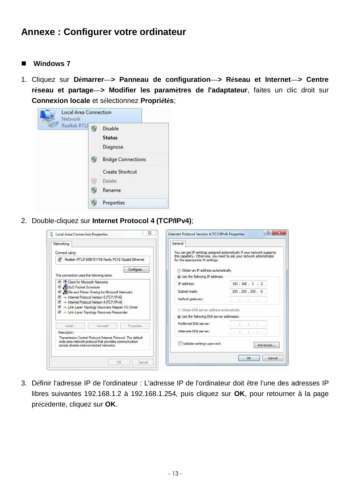# **Annexe : Configurer votre ordinateur**

#### ■ Windows 7

1. Cliquez sur **Démarrer—> Panneau de configuration—> Réseau et Internet—> Centre réseau et partage—> Modifier les paramètres de l'adaptateur**, faites un clic droit sur **Connexion locale** et sélectionnez **Propriétés**;



2. Double-cliquez sur **Internet Protocol 4 (TCP/IPv4)**;

| Networking<br>Connect using:                                                                                                                                      | General<br>You can get IP settings assigned automatically if your network supports                         |                       |
|-------------------------------------------------------------------------------------------------------------------------------------------------------------------|------------------------------------------------------------------------------------------------------------|-----------------------|
| Realtek RTL8168B/8111B Family PCI-E Gigabit Ethernet                                                                                                              | this capability. Otherwise, you need to ask your network administrator<br>for the appropriate IP settings. |                       |
| Configure                                                                                                                                                         | <b>Obtain an IP address automatically</b>                                                                  |                       |
| This connection uses the following items:                                                                                                                         | O Use the following IP address:                                                                            |                       |
| <b>V Client for Microsoft Networks</b><br>QoS Packet Scheduler                                                                                                    | IP address:                                                                                                | 192.168.1.2           |
| File and Printer Sharing for Microsoft Networks<br>▼                                                                                                              | Subnet mask:                                                                                               | 255 . 255 . 255 . 0   |
| A Internet Protocol Version 6 (TCP/IPv6)<br>A + Internet Protocol Version 4 (TCP/IPv4)                                                                            | Default gateway:                                                                                           | 400 140 140           |
| Link-Laver Topology Discovery Mapper I/O Driver<br>Link-Layer Topology Discovery Responder                                                                        | Obtain DNS server address automatically                                                                    |                       |
|                                                                                                                                                                   | · Use the following DNS server addresses:                                                                  |                       |
| Install<br><b>Uninstall</b><br>Properties                                                                                                                         | Preferred DNS server:                                                                                      | 43<br>$\overline{a}$  |
| Description                                                                                                                                                       | Alternate DNS server:                                                                                      | $\dddot{\phantom{1}}$ |
| Transmission Control Protocol/Internet Protocol. The default<br>wide area network protocol that provides communication<br>across diverse interconnected networks. | Validate settings upon exit                                                                                | Advanced              |

3. Définir l'adresse IP de l'ordinateur : L'adresse IP de l'ordinateur doit être l'une des adresses IP libres suivantes 192.168.1.2 à 192.168.1.254, puis cliquez sur **OK**, pour retourner à la page précédente, cliquez sur **OK**.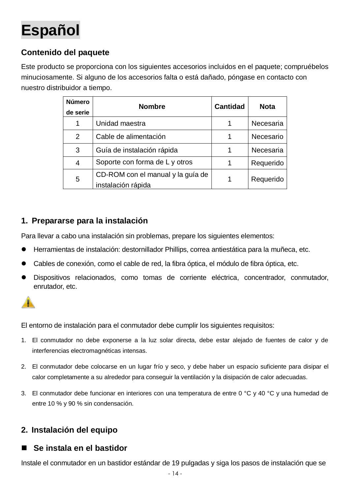# <span id="page-14-0"></span>**Español**

# **Contenido del paquete**

Este producto se proporciona con los siguientes accesorios incluidos en el paquete; compruébelos minuciosamente. Si alguno de los accesorios falta o está dañado, póngase en contacto con nuestro distribuidor a tiempo.

| <b>Número</b><br>de serie | <b>Nombre</b>                                           | <b>Cantidad</b> | <b>Nota</b> |
|---------------------------|---------------------------------------------------------|-----------------|-------------|
| 1                         | Unidad maestra                                          | 1               | Necesaria   |
| 2                         | Cable de alimentación                                   | 1               | Necesario   |
| 3                         | Guía de instalación rápida                              |                 | Necesaria   |
| 4                         | Soporte con forma de L y otros                          |                 | Requerido   |
| 5                         | CD-ROM con el manual y la guía de<br>instalación rápida | 1               | Requerido   |

### **1. Prepararse para la instalación**

Para llevar a cabo una instalación sin problemas, prepare los siguientes elementos:

- Herramientas de instalación: destornillador Phillips, correa antiestática para la muñeca, etc.
- Cables de conexión, como el cable de red, la fibra óptica, el módulo de fibra óptica, etc.
- Dispositivos relacionados, como tomas de corriente eléctrica, concentrador, conmutador, enrutador, etc.



El entorno de instalación para el conmutador debe cumplir los siguientes requisitos:

- 1. El conmutador no debe exponerse a la luz solar directa, debe estar alejado de fuentes de calor y de interferencias electromagnéticas intensas.
- 2. El conmutador debe colocarse en un lugar frío y seco, y debe haber un espacio suficiente para disipar el calor completamente a su alrededor para conseguir la ventilación y la disipación de calor adecuadas.
- 3. El conmutador debe funcionar en interiores con una temperatura de entre 0 °C y 40 °C y una humedad de entre 10 % y 90 % sin condensación.

## **2. Instalación del equipo**

### **Se instala en el bastidor**

Instale el conmutador en un bastidor estándar de 19 pulgadas y siga los pasos de instalación que se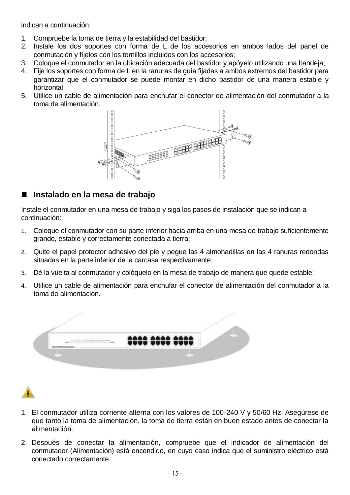indican a continuación:

- 1. Compruebe la toma de tierra y la estabilidad del bastidor;
- 2. Instale los dos soportes con forma de L de los accesorios en ambos lados del panel de conmutación y fíjelos con los tornillos incluidos con los accesorios;
- 3. Coloque el conmutador en la ubicación adecuada del bastidor y apóyelo utilizando una bandeja;
- 4. Fije los soportes con forma de L en la ranuras de guía fijadas a ambos extremos del bastidor para garantizar que el conmutador se puede montar en dicho bastidor de una manera estable y horizontal;
- 5. Utilice un cable de alimentación para enchufar el conector de alimentación del conmutador a la toma de alimentación.



#### **Instalado en la mesa de trabajo**

Instale el conmutador en una mesa de trabajo y siga los pasos de instalación que se indican a continuación:

- 1. Coloque el conmutador con su parte inferior hacia arriba en una mesa de trabajo suficientemente grande, estable y correctamente conectada a tierra;
- 2. Quite el papel protector adhesivo del pie y pegue las 4 almohadillas en las 4 ranuras redondas situadas en la parte inferior de la carcasa respectivamente;
- 3. Dé la vuelta al conmutador y colóquelo en la mesa de trabajo de manera que quede estable;
- 4. Utilice un cable de alimentación para enchufar el conector de alimentación del conmutador a la toma de alimentación.



- 1. El conmutador utiliza corriente alterna con los valores de 100-240 V y 50/60 Hz. Asegúrese de que tanto la toma de alimentación, la toma de tierra están en buen estado antes de conectar la alimentación.
- 2. Después de conectar la alimentación, compruebe que el indicador de alimentación del conmutador (Alimentación) está encendido, en cuyo caso indica que el suministro eléctrico está conectado correctamente.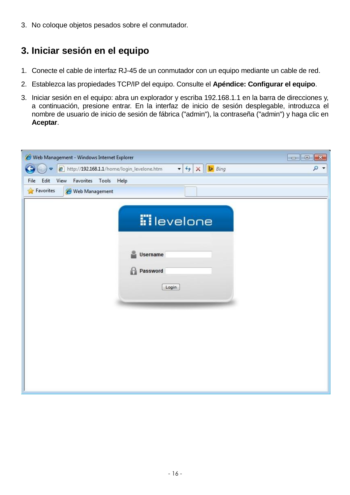3. No coloque objetos pesados sobre el conmutador.

# **3. Iniciar sesión en el equipo**

- 1. Conecte el cable de interfaz RJ-45 de un conmutador con un equipo mediante un cable de red.
- 2. Establezca las propiedades TCP/IP del equipo. Consulte el **Apéndice: Configurar el equipo**.
- 3. Iniciar sesión en el equipo: abra un explorador y escriba 192.168.1.1 en la barra de direcciones y, a continuación, presione entrar. En la interfaz de inicio de sesión desplegable, introduzca el nombre de usuario de inicio de sesión de fábrica ("admin"), la contraseña ("admin") y haga clic en **Aceptar**.

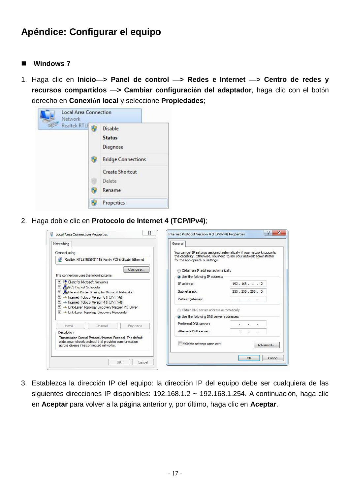# **Apéndice: Configurar el equipo**

#### ■ Windows 7

1. Haga clic en **Inicio—> Panel de control —> Redes e Internet —> Centro de redes y recursos compartidos —> Cambiar configuración del adaptador**, haga clic con el botón derecho en **Conexión local** y seleccione **Propiedades**;



2. Haga doble clic en **Protocolo de Internet 4 (TCP/IPv4)**;

| Networking<br>Connect using:                                                                                                                                      | General<br>You can get IP settings assigned automatically if your network supports                         |
|-------------------------------------------------------------------------------------------------------------------------------------------------------------------|------------------------------------------------------------------------------------------------------------|
| Realtek RTL8168B/8111B Family PCI-E Gigabit Ethernet                                                                                                              | this capability. Otherwise, you need to ask your network administrator<br>for the appropriate IP settings. |
| Configure                                                                                                                                                         | <b>Obtain an IP address automatically</b>                                                                  |
| This connection uses the following items:                                                                                                                         | O Use the following IP address:                                                                            |
| <b>V Client for Microsoft Networks</b>                                                                                                                            | 192.168.1.2<br>IP address:                                                                                 |
| QoS Packet Scheduler<br>File and Printer Sharing for Microsoft Networks                                                                                           | Subnet mask:<br>255 . 255 . 255 . 0                                                                        |
| A Internet Protocol Version 6 (TCP/IPv6)<br>A + Internet Protocol Version 4 (TCP/IPv4)                                                                            | Default gateway:<br>All of the con-                                                                        |
| Link-Laver Topology Discovery Mapper I/O Driver<br>Link-Layer Topology Discovery Responder                                                                        | Obtain DNS server address automatically                                                                    |
|                                                                                                                                                                   | · Use the following DNS server addresses:                                                                  |
| Install<br><b>Uninstall</b><br>Properties                                                                                                                         | Preferred DNS server:<br>43<br>$\overline{a}$                                                              |
| <b>Description</b>                                                                                                                                                | Alternate DNS server:<br>$\mathbf{r}$                                                                      |
| Transmission Control Protocol/Internet Protocol. The default<br>wide area network protocol that provides communication<br>across diverse interconnected networks. | Validate settings upon exit<br>Advanced                                                                    |

3. Establezca la dirección IP del equipo: la dirección IP del equipo debe ser cualquiera de las siguientes direcciones IP disponibles: 192.168.1.2 ~ 192.168.1.254. A continuación, haga clic en **Aceptar** para volver a la página anterior y, por último, haga clic en **Aceptar**.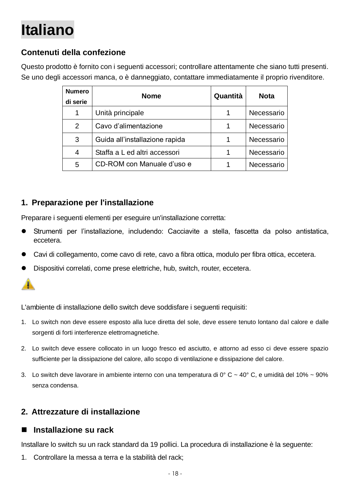# <span id="page-18-0"></span>**Italiano**

# **Contenuti della confezione**

Questo prodotto è fornito con i seguenti accessori; controllare attentamente che siano tutti presenti. Se uno degli accessori manca, o è danneggiato, contattare immediatamente il proprio rivenditore.

| <b>Numero</b><br>di serie | <b>Nome</b>                    | Quantità | <b>Nota</b> |
|---------------------------|--------------------------------|----------|-------------|
| 1                         | Unità principale               |          | Necessario  |
| 2                         | Cavo d'alimentazione           |          | Necessario  |
| 3                         | Guida all'installazione rapida |          | Necessario  |
| 4                         | Staffa a L ed altri accessori  |          | Necessario  |
| 5                         | CD-ROM con Manuale d'uso e     |          | Necessario  |

### **1. Preparazione per l'installazione**

Preparare i seguenti elementi per eseguire un'installazione corretta:

- Strumenti per l'installazione, includendo: Cacciavite a stella, fascetta da polso antistatica, eccetera.
- Cavi di collegamento, come cavo di rete, cavo a fibra ottica, modulo per fibra ottica, eccetera.
- Dispositivi correlati, come prese elettriche, hub, switch, router, eccetera.



L'ambiente di installazione dello switch deve soddisfare i seguenti requisiti:

- 1. Lo switch non deve essere esposto alla luce diretta del sole, deve essere tenuto lontano dal calore e dalle sorgenti di forti interferenze elettromagnetiche.
- 2. Lo switch deve essere collocato in un luogo fresco ed asciutto, e attorno ad esso ci deve essere spazio sufficiente per la dissipazione del calore, allo scopo di ventilazione e dissipazione del calore.
- 3. Lo switch deve lavorare in ambiente interno con una temperatura di 0° C ~ 40° C, e umidità del 10% ~ 90% senza condensa.

### **2. Attrezzature di installazione**

#### **Installazione su rack**

Installare lo switch su un rack standard da 19 pollici. La procedura di installazione è la seguente:

1. Controllare la messa a terra e la stabilità del rack;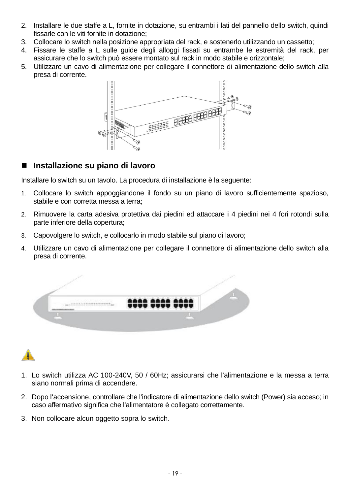- 2. Installare le due staffe a L, fornite in dotazione, su entrambi i lati del pannello dello switch, quindi fissarle con le viti fornite in dotazione;
- 3. Collocare lo switch nella posizione appropriata del rack, e sostenerlo utilizzando un cassetto;
- 4. Fissare le staffe a L sulle guide degli alloggi fissati su entrambe le estremità del rack, per assicurare che lo switch può essere montato sul rack in modo stabile e orizzontale;
- 5. Utilizzare un cavo di alimentazione per collegare il connettore di alimentazione dello switch alla presa di corrente.



### **Installazione su piano di lavoro**

Installare lo switch su un tavolo. La procedura di installazione è la seguente:

- 1. Collocare lo switch appoggiandone il fondo su un piano di lavoro sufficientemente spazioso, stabile e con corretta messa a terra;
- 2. Rimuovere la carta adesiva protettiva dai piedini ed attaccare i 4 piedini nei 4 fori rotondi sulla parte inferiore della copertura;
- 3. Capovolgere lo switch, e collocarlo in modo stabile sul piano di lavoro;
- 4. Utilizzare un cavo di alimentazione per collegare il connettore di alimentazione dello switch alla presa di corrente.





- 1. Lo switch utilizza AC 100-240V, 50 / 60Hz; assicurarsi che l'alimentazione e la messa a terra siano normali prima di accendere.
- 2. Dopo l'accensione, controllare che l'indicatore di alimentazione dello switch (Power) sia acceso; in caso affermativo significa che l'alimentatore è collegato correttamente.
- 3. Non collocare alcun oggetto sopra lo switch.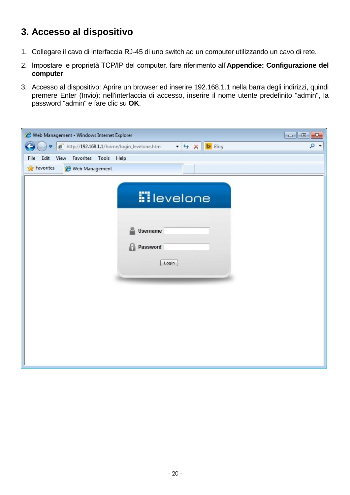# **3. Accesso al dispositivo**

- 1. Collegare il cavo di interfaccia RJ-45 di uno switch ad un computer utilizzando un cavo di rete.
- 2. Impostare le proprietà TCP/IP del computer, fare riferimento all'**Appendice: Configurazione del computer**.
- 3. Accesso al dispositivo: Aprire un browser ed inserire 192.168.1.1 nella barra degli indirizzi, quindi premere Enter (Invio); nell'interfaccia di accesso, inserire il nome utente predefinito "admin", la password "admin" e fare clic su **OK**.

| Web Management - Windows Internet Explorer                         | $\Box$ $\Box$                                                           |
|--------------------------------------------------------------------|-------------------------------------------------------------------------|
| http://192.168.1.1/home/login_levelone.htm<br>$\blacktriangledown$ | $\mathbf{y}$ + $\mathbf{y}$ $\mathbf{X}$ $\mathbf{b}$ Bing<br>$\circ$ - |
| Edit<br>View<br>Favorites Tools Help<br>File                       |                                                                         |
| <b>Favorites</b><br>Web Management                                 |                                                                         |
|                                                                    | <b>iil</b> evelone<br>Username<br>Password<br>Н<br>Login                |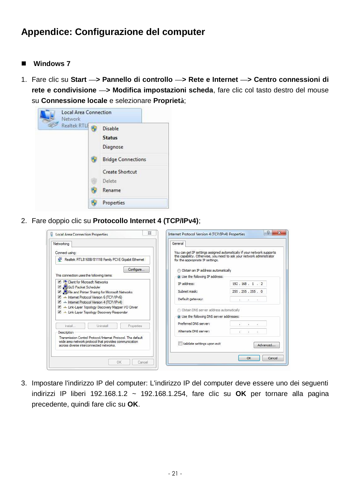# **Appendice: Configurazione del computer**

#### ■ Windows 7

1. Fare clic su **Start —> Pannello di controllo —> Rete e Internet —> Centro connessioni di rete e condivisione —> Modifica impostazioni scheda**, fare clic col tasto destro del mouse su **Connessione locale** e selezionare **Proprietà**;



2. Fare doppio clic su **Protocollo Internet 4 (TCP/IPv4)**;

| Networking                                                                                                                                                        | General                                                                                                                                                                               |                              |
|-------------------------------------------------------------------------------------------------------------------------------------------------------------------|---------------------------------------------------------------------------------------------------------------------------------------------------------------------------------------|------------------------------|
| Connect using:<br>Realtek RTL8168B/8111B Family PCI-E Gigabit Ethernet                                                                                            | You can get IP settings assigned automatically if your network supports<br>this capability. Otherwise, you need to ask your network administrator<br>for the appropriate IP settings. |                              |
| Configure                                                                                                                                                         | Obtain an IP address automatically                                                                                                                                                    |                              |
| This connection uses the following items:                                                                                                                         | O Use the following IP address:                                                                                                                                                       |                              |
| <b>V Client for Microsoft Networks</b>                                                                                                                            | IP address:                                                                                                                                                                           | 192.168.1.2                  |
| QoS Packet Scheduler<br>File and Printer Sharing for Microsoft Networks<br>▼                                                                                      | Subnet mask:                                                                                                                                                                          | 255 . 255 . 255 . 0          |
| A Internet Protocol Version 6 (TCP/IPv6)<br>A Lemet Protocol Version 4 (TCP/IPv4)                                                                                 | Default gateway:                                                                                                                                                                      | <b>COLLEGE 100</b><br>$\sim$ |
| Link-Laver Topology Discovery Mapper I/O Driver<br>Link-Layer Topology Discovery Responder                                                                        | Obtain DNS server address automatically                                                                                                                                               |                              |
|                                                                                                                                                                   | · Use the following DNS server addresses:                                                                                                                                             |                              |
| <b>Lininstall</b><br>Install<br>Properties                                                                                                                        | Preferred DNS server:                                                                                                                                                                 | $\mathbf{r}$                 |
| Description                                                                                                                                                       | Alternate DNS server:                                                                                                                                                                 | $\mathbf{r}$                 |
| Transmission Control Protocol/Internet Protocol. The default<br>wide area network protocol that provides communication<br>across diverse interconnected networks. | Validate settings upon exit                                                                                                                                                           | Advanced                     |

3. Impostare l'indirizzo IP del computer: L'indirizzo IP del computer deve essere uno dei seguenti indirizzi IP liberi 192.168.1.2 ~ 192.168.1.254, fare clic su **OK** per tornare alla pagina precedente, quindi fare clic su **OK**.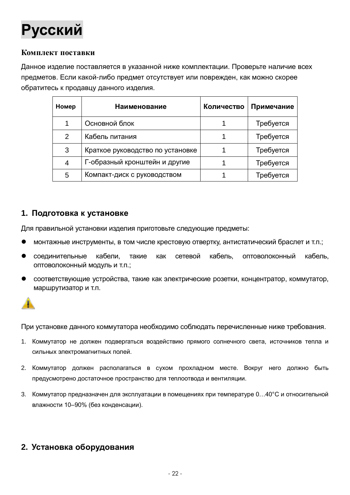<span id="page-22-0"></span>

#### **Комплект поставки**

Данное изделие поставляется в указанной ниже комплектации. Проверьте наличие всех предметов. Если какой-либо предмет отсутствует или поврежден, как можно скорее обратитесь к продавцу данного изделия.

| Номер | <b>Наименование</b>              | Количество | Примечание |
|-------|----------------------------------|------------|------------|
| 1     | Основной блок                    |            | Требуется  |
| 2     | Кабель питания                   |            | Требуется  |
| 3     | Краткое руководство по установке |            | Требуется  |
| 4     | Г-образный кронштейн и другие    |            | Требуется  |
| 5     | Компакт-диск с руководством      |            | Требуется  |

#### **1. Подготовка к установке**

Для правильной установки изделия приготовьте следующие предметы:

- монтажные инструменты, в том числе крестовую отвертку, антистатический браслет и т.п.;
- соединительные кабели, такие как сетевой кабель, оптоволоконный кабель, оптоволоконный модуль и т.п.;
- соответствующие устройства, такие как электрические розетки, концентратор, коммутатор, маршрутизатор и т.п.



При установке данного коммутатора необходимо соблюдать перечисленные ниже требования.

- 1. Коммутатор не должен подвергаться воздействию прямого солнечного света, источников тепла и сильных электромагнитных полей.
- 2. Коммутатор должен располагаться в сухом прохладном месте. Вокруг него должно быть предусмотрено достаточное пространство для теплоотвода и вентиляции.
- 3. Коммутатор предназначен для эксплуатации в помещениях при температуре 0…40°C и относительной влажности 10–90% (без конденсации).

## **2. Установка оборудования**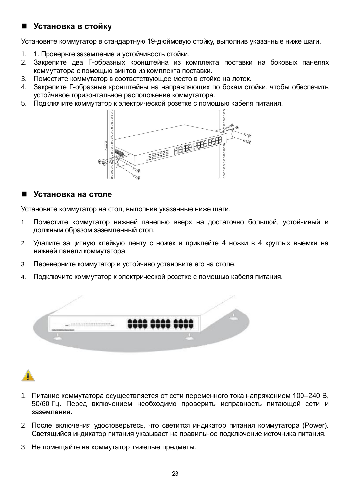### **Установка в стойку**

Установите коммутатор в стандартную 19-дюймовую стойку, выполнив указанные ниже шаги.

- 1. 1. Проверьте заземление и устойчивость стойки.
- 2. Закрепите два Г-образных кронштейна из комплекта поставки на боковых панелях коммутатора с помощью винтов из комплекта поставки.
- 3. Поместите коммутатор в соответствующее место в стойке на лоток.
- 4. Закрепите Г-образные кронштейны на направляющих по бокам стойки, чтобы обеспечить устойчивое горизонтальное расположение коммутатора.
- 5. Подключите коммутатор к электрической розетке с помощью кабеля питания.



#### **Установка на столе**

Установите коммутатор на стол, выполнив указанные ниже шаги.

- 1. Поместите коммутатор нижней панелью вверх на достаточно большой, устойчивый и должным образом заземленный стол.
- 2. Удалите защитную клейкую ленту с ножек и приклейте 4 ножки в 4 круглых выемки на нижней панели коммутатора.
- 3. Переверните коммутатор и устойчиво установите его на столе.
- 4. Подключите коммутатор к электрической розетке с помощью кабеля питания.



- 1. Питание коммутатора осуществляется от сети переменного тока напряжением 100–240 В, 50/60 Гц. Перед включением необходимо проверить исправность питающей сети и заземления.
- 2. После включения удостоверьтесь, что светится индикатор питания коммутатора (Power). Светящийся индикатор питания указывает на правильное подключение источника питания.
- 3. Не помещайте на коммутатор тяжелые предметы.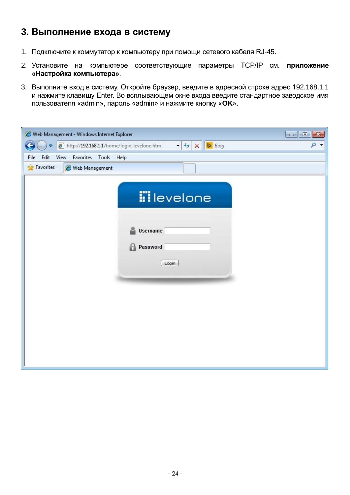# **3. Выполнение входа в систему**

- 1. Подключите к коммутатор к компьютеру при помощи сетевого кабеля RJ-45.
- 2. Установите на компьютере соответствующие параметры TCP/IP см. **приложение «Настройка компьютера»**.
- 3. Выполните вход в систему. Откройте браузер, введите в адресной строке адрес 192.168.1.1 и нажмите клавишу Enter. Во всплывающем окне входа введите стандартное заводское имя пользователя «admin», пароль «admin» и нажмите кнопку «**OK**».

| Web Management - Windows Internet Explorer                         | $\Box$                                                                                                             |
|--------------------------------------------------------------------|--------------------------------------------------------------------------------------------------------------------|
| http://192.168.1.1/home/login_levelone.htm<br>$\blacktriangledown$ | $\blacktriangleright$ $\blacktriangleright$ $\blacktriangleright$ $\times$ $\blacktriangleright$ Bing<br>$\circ$ + |
| Edit<br>View<br>Favorites Tools<br>File                            | Help                                                                                                               |
| <b>Favorites</b><br>Web Management                                 |                                                                                                                    |
|                                                                    | <b>ii</b> levelone<br>Username<br>Password<br>Ŀ<br>Login                                                           |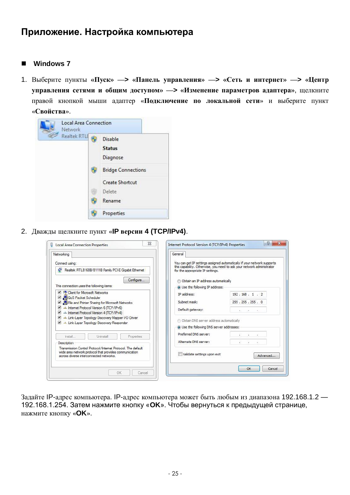# **Приложение. Настройка компьютера**

#### ■ Windows 7

1. Выберите пункты **«Пуск» —> «Панель управления» —> «Сеть и интернет» —> «Центр управления сетями и общим доступом» —> «Изменение параметров адаптера»**, щелкните правой кнопкой мыши адаптер «**Подключение по локальной сети**» и выберите пункт «**Свойства**».



2. Дважды щелкните пункт «**IP версии 4 (TCP/IPv4)**.

|                                  | You can get IP settings assigned automatically if your network supports                                                                                                                                                                   |
|----------------------------------|-------------------------------------------------------------------------------------------------------------------------------------------------------------------------------------------------------------------------------------------|
| for the appropriate IP settings. |                                                                                                                                                                                                                                           |
|                                  |                                                                                                                                                                                                                                           |
|                                  |                                                                                                                                                                                                                                           |
| IP address:                      | 192.168.1.2                                                                                                                                                                                                                               |
| Subnet mask:                     | 255 . 255 . 255 . 0                                                                                                                                                                                                                       |
| Default gateway:                 | $\mathbf{r} = \mathbf{r}$ and $\mathbf{r} = \mathbf{r}$                                                                                                                                                                                   |
|                                  |                                                                                                                                                                                                                                           |
|                                  |                                                                                                                                                                                                                                           |
| Preferred DNS server:            | ×<br>$\mathcal{L}$                                                                                                                                                                                                                        |
| Alternate DNS server:            | $\ddot{\phantom{1}}$                                                                                                                                                                                                                      |
| Validate settings upon exit      | Advanced                                                                                                                                                                                                                                  |
|                                  | this capability. Otherwise, you need to ask your network administrator<br>b Obtain an IP address automatically<br>O Use the following IP address:<br>Obtain DNS server address automatically<br>· Use the following DNS server addresses: |

Задайте IP-адрес компьютера. IP-адрес компьютера может быть любым из диапазона 192.168.1.2 — 192.168.1.254. Затем нажмите кнопку «**OK**». Чтобы вернуться к предыдущей странице, нажмите кнопку «**OK**».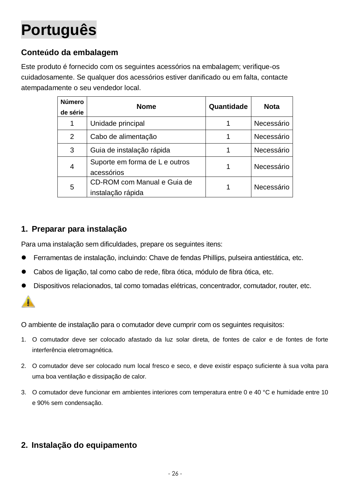# <span id="page-26-0"></span>**Português**

## **Conteúdo da embalagem**

Este produto é fornecido com os seguintes acessórios na embalagem; verifique-os cuidadosamente. Se qualquer dos acessórios estiver danificado ou em falta, contacte atempadamente o seu vendedor local.

| <b>Número</b><br>de série | <b>Nome</b>                                      | Quantidade | <b>Nota</b> |
|---------------------------|--------------------------------------------------|------------|-------------|
| 1                         | Unidade principal                                |            | Necessário  |
| $\overline{2}$            | Cabo de alimentação                              |            | Necessário  |
| 3                         | Guia de instalação rápida                        |            | Necessário  |
| 4                         | Suporte em forma de L e outros<br>acessórios     |            | Necessário  |
| 5                         | CD-ROM com Manual e Guia de<br>instalação rápida |            | Necessário  |

## **1. Preparar para instalação**

Para uma instalação sem dificuldades, prepare os seguintes itens:

- Ferramentas de instalação, incluindo: Chave de fendas Phillips, pulseira antiestática, etc.
- Cabos de ligação, tal como cabo de rede, fibra ótica, módulo de fibra ótica, etc.
- Dispositivos relacionados, tal como tomadas elétricas, concentrador, comutador, router, etc.



O ambiente de instalação para o comutador deve cumprir com os seguintes requisitos:

- 1. O comutador deve ser colocado afastado da luz solar direta, de fontes de calor e de fontes de forte interferência eletromagnética.
- 2. O comutador deve ser colocado num local fresco e seco, e deve existir espaço suficiente à sua volta para uma boa ventilação e dissipação de calor.
- 3. O comutador deve funcionar em ambientes interiores com temperatura entre 0 e 40 °C e humidade entre 10 e 90% sem condensação.

## **2. Instalação do equipamento**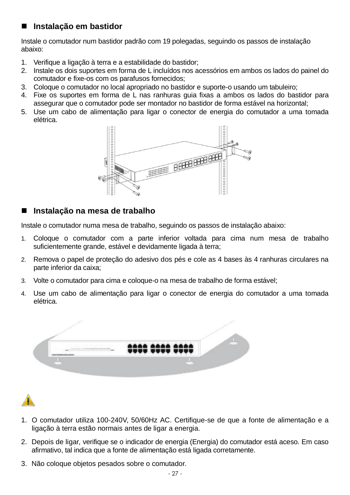### **Instalação em bastidor**

Instale o comutador num bastidor padrão com 19 polegadas, seguindo os passos de instalação abaixo:

- 1. Verifique a ligação à terra e a estabilidade do bastidor;
- 2. Instale os dois suportes em forma de L incluídos nos acessórios em ambos os lados do painel do comutador e fixe-os com os parafusos fornecidos;
- 3. Coloque o comutador no local apropriado no bastidor e suporte-o usando um tabuleiro;
- 4. Fixe os suportes em forma de L nas ranhuras guia fixas a ambos os lados do bastidor para assegurar que o comutador pode ser montador no bastidor de forma estável na horizontal;
- 5. Use um cabo de alimentação para ligar o conector de energia do comutador a uma tomada elétrica.



### **Instalação na mesa de trabalho**

Instale o comutador numa mesa de trabalho, seguindo os passos de instalação abaixo:

- 1. Coloque o comutador com a parte inferior voltada para cima num mesa de trabalho suficientemente grande, estável e devidamente ligada à terra;
- 2. Remova o papel de proteção do adesivo dos pés e cole as 4 bases às 4 ranhuras circulares na parte inferior da caixa;
- 3. Volte o comutador para cima e coloque-o na mesa de trabalho de forma estável;
- 4. Use um cabo de alimentação para ligar o conector de energia do comutador a uma tomada elétrica.





- 1. O comutador utiliza 100-240V, 50/60Hz AC. Certifique-se de que a fonte de alimentação e a ligação à terra estão normais antes de ligar a energia.
- 2. Depois de ligar, verifique se o indicador de energia (Energia) do comutador está aceso. Em caso afirmativo, tal indica que a fonte de alimentação está ligada corretamente.
- 3. Não coloque objetos pesados sobre o comutador.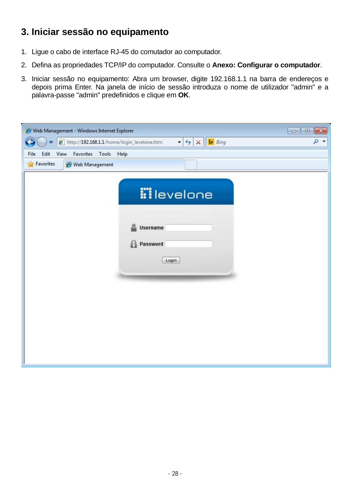# **3. Iniciar sessão no equipamento**

- 1. Ligue o cabo de interface RJ-45 do comutador ao computador.
- 2. Defina as propriedades TCP/IP do computador. Consulte o **Anexo: Configurar o computador**.
- 3. Iniciar sessão no equipamento: Abra um browser, digite 192.168.1.1 na barra de endereços e depois prima Enter. Na janela de início de sessão introduza o nome de utilizador "admin" e a palavra-passe "admin" predefinidos e clique em **OK**.

| Web Management - Windows Internet Explorer                                                                                               | $\ x\ $<br>$\begin{array}{c c c c c} \hline \multicolumn{3}{c }{\mathbf{0}} & \multicolumn{3}{c }{\mathbf{0}} \end{array}$ |
|------------------------------------------------------------------------------------------------------------------------------------------|----------------------------------------------------------------------------------------------------------------------------|
| <b>Bing</b><br>http://192.168.1.1/home/login_levelone.htm<br>$\mathbf{r}$ $\mathbf{t}$ $\mathbf{r}$ $\mathbf{x}$<br>$\blacktriangledown$ | $\circ$ -                                                                                                                  |
| Edit<br>View<br>Favorites<br>Tools<br>Help<br>File                                                                                       |                                                                                                                            |
| <b><i>See Favorites</i></b><br>Web Management                                                                                            |                                                                                                                            |
|                                                                                                                                          |                                                                                                                            |
| <b>illevelone</b>                                                                                                                        |                                                                                                                            |
| Username                                                                                                                                 |                                                                                                                            |
| Password<br>Н                                                                                                                            |                                                                                                                            |
|                                                                                                                                          |                                                                                                                            |
| Login                                                                                                                                    |                                                                                                                            |
|                                                                                                                                          |                                                                                                                            |
|                                                                                                                                          |                                                                                                                            |
|                                                                                                                                          |                                                                                                                            |
|                                                                                                                                          |                                                                                                                            |
|                                                                                                                                          |                                                                                                                            |
|                                                                                                                                          |                                                                                                                            |
|                                                                                                                                          |                                                                                                                            |
|                                                                                                                                          |                                                                                                                            |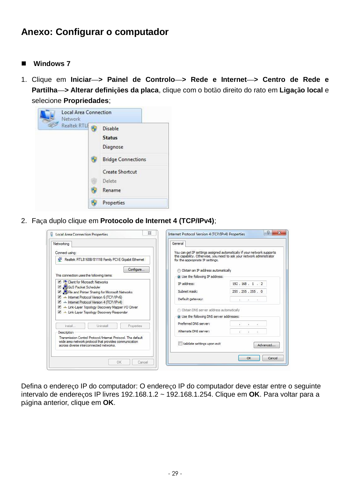# **Anexo: Configurar o computador**

#### ■ Windows 7

1. Clique em **Iniciar—> Painel de Controlo—> Rede e Internet—> Centro de Rede e Partilha—> Alterar definições da placa**, clique com o botão direito do rato em **Ligação local** e selecione **Propriedades**;



2. Faça duplo clique em **Protocolo de Internet 4 (TCP/IPv4)**;

| Networking<br>Connect using:                                                                                                                                      | General                                   | You can get IP settings assigned automatically if your network supports |
|-------------------------------------------------------------------------------------------------------------------------------------------------------------------|-------------------------------------------|-------------------------------------------------------------------------|
| Realtek RTL8168B/8111B Family PCI-E Gigabit Ethernet                                                                                                              | for the appropriate IP settings.          | this capability. Otherwise, you need to ask your network administrator  |
| Configure                                                                                                                                                         | <b>Obtain an IP address automatically</b> |                                                                         |
| This connection uses the following items:                                                                                                                         | O Use the following IP address:           |                                                                         |
| <b>V Client for Microsoft Networks</b>                                                                                                                            | IP address:                               | 192.168.1.2                                                             |
| QoS Packet Scheduler<br>File and Printer Sharing for Microsoft Networks                                                                                           | Subnet mask:                              | 255 . 255 . 255 . 0                                                     |
| A Internet Protocol Version 6 (TCP/IPv6)<br>A Lemet Protocol Version 4 (TCP/IPv4)                                                                                 | Default gateway:                          | ALC: YES AN ARRANGEMENT                                                 |
| Link-Layer Topology Discovery Mapper I/O Driver<br>Link-Layer Topology Discovery Responder                                                                        | Obtain DNS server address automatically   |                                                                         |
|                                                                                                                                                                   | · Use the following DNS server addresses: |                                                                         |
| Install<br><b>Uninstall</b><br>Properties                                                                                                                         | Preferred DNS server:                     | $\mathbf{r}$                                                            |
| <b>Description</b>                                                                                                                                                | Alternate DNS server:                     | 窓<br>$\sim$                                                             |
| Transmission Control Protocol/Internet Protocol. The default<br>wide area network protocol that provides communication<br>across diverse interconnected networks. | Validate settings upon exit               | Advanced                                                                |

Defina o endereço IP do computador: O endereço IP do computador deve estar entre o seguinte intervalo de endereços IP livres 192.168.1.2 ~ 192.168.1.254. Clique em **OK**. Para voltar para a página anterior, clique em **OK**.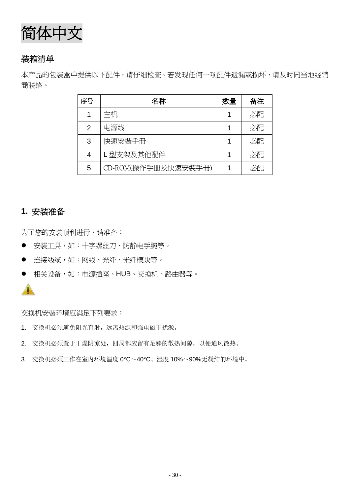<span id="page-30-0"></span>

## 装箱清单

本产品的包装盒中提供以下配件,请仔细检查。若发现任何一项配件遗漏或损坏,请及时同当地经销 商联络。

| 序号 | 名称                  | 数量 | 备注 |
|----|---------------------|----|----|
| 1  | 主机                  |    | 必配 |
| 2  | 电源线                 |    | 必配 |
| 3  | 快速安裝手冊              |    | 必配 |
| 4  | L型支架及其他配件           |    | 必配 |
| 5  | CD-ROM(操作手冊及快速安裝手冊) |    | 必配 |

## **1.** 安装准备

为了您的安装顺利进行,请准备:

- 安装工具,如:十字螺丝刀、防静电手腕等。
- 连接线缆,如:网线、光纤、光纤模块等。
- 相关设备,如:电源插座、HUB、交换机、路由器等。



交换机安装环境应满足下列要求:

- 1. 交换机必须避免阳光直射,远离热源和强电磁干扰源。
- 2. 交换机必须置于干燥阴凉处,四周都应留有足够的散热间隙,以便通风散热。
- 3. 交换机必须工作在室内环境温度 0°C~40°C、湿度 10%~90%无凝结的环境中。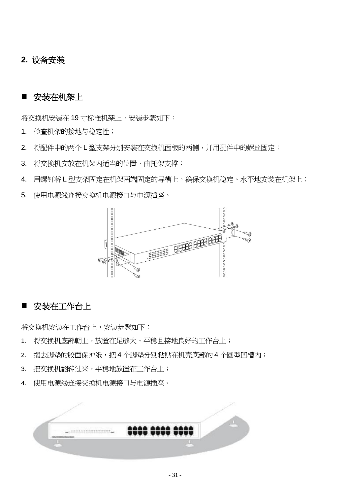### **2.** 设备安装

### ■ 安装在机架上

将交换机安装在19 寸标准机架上, 安装步骤如下:

- 1. 检查机架的接地与稳定性;
- 2. 将配件中的两个 L 型支架分别安装在交换机面板的两侧,并用配件中的螺丝固定;
- 3. 将交换机安放在机架内适当的位置,由托架支撑;

4. 用螺钉将 L 型支架固定在机架两端固定的导槽上,确保交换机稳定、水平地安装在机架上;

5. 使用电源线连接交换机电源接口与电源插座。



### 安装在工作台上

将交换机安装在工作台上,安装步骤如下:

- 1. 将交换机底部朝上,放置在足够大、平稳且接地良好的工作台上;
- 2. 揭去脚垫的胶面保护纸,把4个脚垫分别粘贴在机壳底部的4个圆型凹槽内;
- 3. 把交换机翻转过来,平稳地放置在工作台上;
- 4. 使用电源线连接交换机电源接口与电源插座。

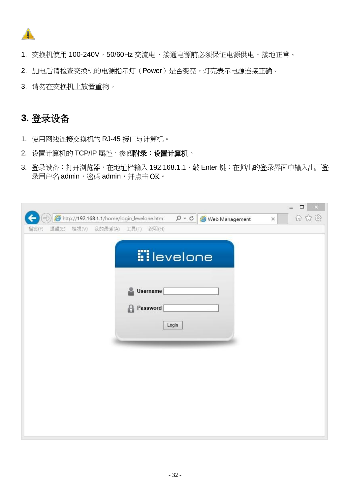

- 1. 交换机使用 100-240V,50/60Hz 交流电,接通电源前必须保证电源供电、接地正常。
- 2. 加电后请检查交换机的电源指示灯(Power)是否变亮,灯亮表示电源连接正确。
- 3. 请勿在交换机上放置重物。

# **3.** 登录设备

- 1. 使用网线连接交换机的 RJ-45 接口与计算机。
- 2. 设置计算机的 TCP/IP 属性,参阅附录:设置计算机。
- 3. 登录设备:打开浏览器,在地址栏输入 192.168.1.1,敲 Enter 键; 在弹出的登录界面中输入出厂登 录用户名 admin,密码 admin,并点击 OK。

|       |       |       |                                            |   |          |                    |                |          | $\propto$<br>$\Box$ |
|-------|-------|-------|--------------------------------------------|---|----------|--------------------|----------------|----------|---------------------|
|       |       |       | http://192.168.1.1/home/login_levelone.htm |   |          | $D - C$            | Web Management | $\times$ | 6 公母                |
| 備案(F) | 編輯(E) | 檢視(V) | 我的最愛(A) 工具(T) 說明(H)                        |   |          |                    |                |          |                     |
|       |       |       |                                            |   |          |                    |                |          |                     |
|       |       |       |                                            |   |          |                    |                |          |                     |
|       |       |       |                                            |   |          | <b>iil</b> evelone |                |          |                     |
|       |       |       |                                            |   |          |                    |                |          |                     |
|       |       |       |                                            |   |          |                    |                |          |                     |
|       |       |       |                                            | 2 | Username |                    |                |          |                     |
|       |       |       |                                            | Θ | Password |                    |                |          |                     |
|       |       |       |                                            |   |          |                    |                |          |                     |
|       |       |       |                                            |   |          | Login              |                |          |                     |
|       |       |       |                                            |   |          |                    |                |          |                     |
|       |       |       |                                            |   |          |                    |                |          |                     |
|       |       |       |                                            |   |          |                    |                |          |                     |
|       |       |       |                                            |   |          |                    |                |          |                     |
|       |       |       |                                            |   |          |                    |                |          |                     |
|       |       |       |                                            |   |          |                    |                |          |                     |
|       |       |       |                                            |   |          |                    |                |          |                     |
|       |       |       |                                            |   |          |                    |                |          |                     |
|       |       |       |                                            |   |          |                    |                |          |                     |